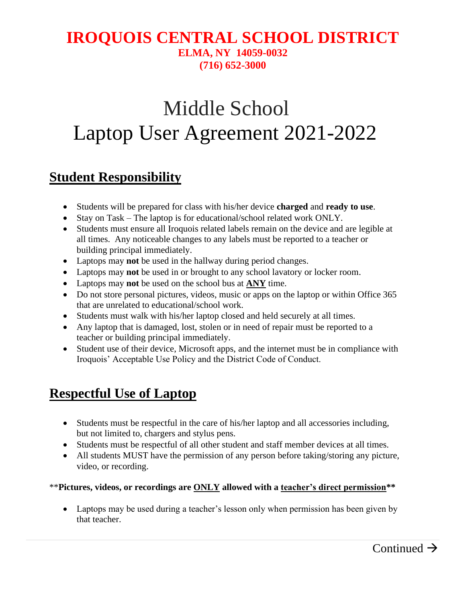#### **IROQUOIS CENTRAL SCHOOL DISTRICT ELMA, NY 14059-0032 (716) 652-3000**

# Middle School Laptop User Agreement 2021-2022

### **Student Responsibility**

- Students will be prepared for class with his/her device **charged** and **ready to use**.
- Stay on Task The laptop is for educational/school related work ONLY.
- Students must ensure all Iroquois related labels remain on the device and are legible at all times. Any noticeable changes to any labels must be reported to a teacher or building principal immediately.
- Laptops may **not** be used in the hallway during period changes.
- Laptops may **not** be used in or brought to any school lavatory or locker room.
- Laptops may **not** be used on the school bus at **ANY** time.
- Do not store personal pictures, videos, music or apps on the laptop or within Office 365 that are unrelated to educational/school work.
- Students must walk with his/her laptop closed and held securely at all times.
- Any laptop that is damaged, lost, stolen or in need of repair must be reported to a teacher or building principal immediately.
- Student use of their device, Microsoft apps, and the internet must be in compliance with Iroquois' Acceptable Use Policy and the District Code of Conduct.

## **Respectful Use of Laptop**

- Students must be respectful in the care of his/her laptop and all accessories including, but not limited to, chargers and stylus pens.
- Students must be respectful of all other student and staff member devices at all times.
- All students MUST have the permission of any person before taking/storing any picture, video, or recording.

#### \*\***Pictures, videos, or recordings are ONLY allowed with a teacher's direct permission\*\***

• Laptops may be used during a teacher's lesson only when permission has been given by that teacher.